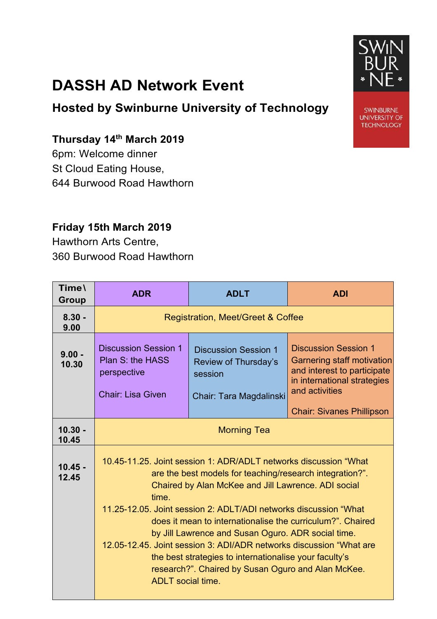## **DASSH AD Network Event**

**Hosted by Swinburne University of Technology**

## **Thursday 14th March 2019**

6pm: Welcome dinner St Cloud Eating House, 644 Burwood Road Hawthorn

## **Friday 15th March 2019**

Hawthorn Arts Centre, 360 Burwood Road Hawthorn

| Time\<br>Group     | <b>ADR</b>                                                                                                                                                                                                                                                                                                                                                                                                                                                                                                                                                                                              | <b>ADLT</b>                                                                               | <b>ADI</b>                                                                                                                                                                           |  |  |
|--------------------|---------------------------------------------------------------------------------------------------------------------------------------------------------------------------------------------------------------------------------------------------------------------------------------------------------------------------------------------------------------------------------------------------------------------------------------------------------------------------------------------------------------------------------------------------------------------------------------------------------|-------------------------------------------------------------------------------------------|--------------------------------------------------------------------------------------------------------------------------------------------------------------------------------------|--|--|
| $8.30 -$<br>9.00   | <b>Registration, Meet/Greet &amp; Coffee</b>                                                                                                                                                                                                                                                                                                                                                                                                                                                                                                                                                            |                                                                                           |                                                                                                                                                                                      |  |  |
| $9.00 -$<br>10.30  | <b>Discussion Session 1</b><br>Plan S: the HASS<br>perspective<br><b>Chair: Lisa Given</b>                                                                                                                                                                                                                                                                                                                                                                                                                                                                                                              | <b>Discussion Session 1</b><br>Review of Thursday's<br>session<br>Chair: Tara Magdalinski | <b>Discussion Session 1</b><br><b>Garnering staff motivation</b><br>and interest to participate<br>in international strategies<br>and activities<br><b>Chair: Sivanes Phillipson</b> |  |  |
| $10.30 -$<br>10.45 | <b>Morning Tea</b>                                                                                                                                                                                                                                                                                                                                                                                                                                                                                                                                                                                      |                                                                                           |                                                                                                                                                                                      |  |  |
| $10.45 -$<br>12.45 | 10.45-11.25. Joint session 1: ADR/ADLT networks discussion "What<br>are the best models for teaching/research integration?".<br>Chaired by Alan McKee and Jill Lawrence. ADI social<br>time.<br>11.25-12.05. Joint session 2: ADLT/ADI networks discussion "What<br>does it mean to internationalise the curriculum?". Chaired<br>by Jill Lawrence and Susan Oguro. ADR social time.<br>12.05-12.45. Joint session 3: ADI/ADR networks discussion "What are<br>the best strategies to internationalise your faculty's<br>research?". Chaired by Susan Oguro and Alan McKee.<br><b>ADLT</b> social time. |                                                                                           |                                                                                                                                                                                      |  |  |



**SWINBURNE UNIVERSITY OF TECHNOLOGY**